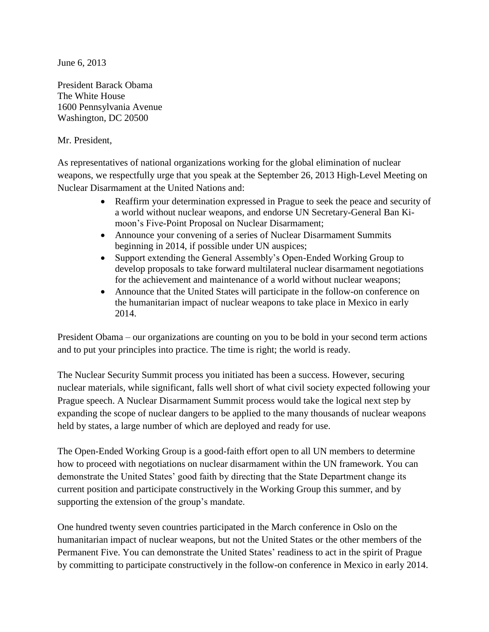June 6, 2013

President Barack Obama The White House 1600 Pennsylvania Avenue Washington, DC 20500

## Mr. President,

As representatives of national organizations working for the global elimination of nuclear weapons, we respectfully urge that you speak at the September 26, 2013 High-Level Meeting on Nuclear Disarmament at the United Nations and:

- Reaffirm your determination expressed in Prague to seek the peace and security of a world without nuclear weapons, and endorse UN Secretary-General Ban Kimoon's Five-Point Proposal on Nuclear Disarmament;
- Announce your convening of a series of Nuclear Disarmament Summits beginning in 2014, if possible under UN auspices;
- Support extending the General Assembly's Open-Ended Working Group to develop proposals to take forward multilateral nuclear disarmament negotiations for the achievement and maintenance of a world without nuclear weapons;
- Announce that the United States will participate in the follow-on conference on the humanitarian impact of nuclear weapons to take place in Mexico in early 2014.

President Obama – our organizations are counting on you to be bold in your second term actions and to put your principles into practice. The time is right; the world is ready.

The Nuclear Security Summit process you initiated has been a success. However, securing nuclear materials, while significant, falls well short of what civil society expected following your Prague speech. A Nuclear Disarmament Summit process would take the logical next step by expanding the scope of nuclear dangers to be applied to the many thousands of nuclear weapons held by states, a large number of which are deployed and ready for use.

The Open-Ended Working Group is a good-faith effort open to all UN members to determine how to proceed with negotiations on nuclear disarmament within the UN framework. You can demonstrate the United States' good faith by directing that the State Department change its current position and participate constructively in the Working Group this summer, and by supporting the extension of the group's mandate.

One hundred twenty seven countries participated in the March conference in Oslo on the humanitarian impact of nuclear weapons, but not the United States or the other members of the Permanent Five. You can demonstrate the United States' readiness to act in the spirit of Prague by committing to participate constructively in the follow-on conference in Mexico in early 2014.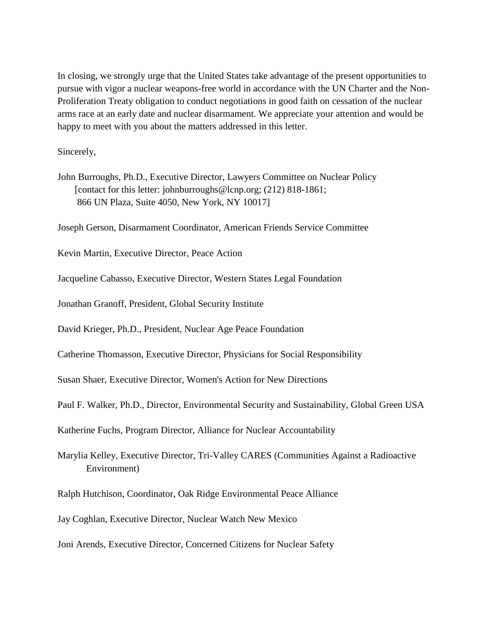In closing, we strongly urge that the United States take advantage of the present opportunities to pursue with vigor a nuclear weapons-free world in accordance with the UN Charter and the Non-Proliferation Treaty obligation to conduct negotiations in good faith on cessation of the nuclear arms race at an early date and nuclear disarmament. We appreciate your attention and would be happy to meet with you about the matters addressed in this letter.

Sincerely,

John Burroughs, Ph.D., Executive Director, Lawyers Committee on Nuclear Policy [contact for this letter: johnburroughs@lcnp.org; (212) 818-1861; 866 UN Plaza, Suite 4050, New York, NY 10017]

Joseph Gerson, Disarmament Coordinator, American Friends Service Committee

Kevin Martin, Executive Director, Peace Action

Jacqueline Cabasso, Executive Director, Western States Legal Foundation

Jonathan Granoff, President, Global Security Institute

David Krieger, Ph.D., President, Nuclear Age Peace Foundation

Catherine Thomasson, Executive Director, Physicians for Social Responsibility

Susan Shaer, Executive Director, Women's Action for New Directions

Paul F. Walker, Ph.D., Director, Environmental Security and Sustainability, Global Green USA

Katherine Fuchs, Program Director, Alliance for Nuclear Accountability

Marylia Kelley, Executive Director, Tri-Valley CARES (Communities Against a Radioactive Environment)

Ralph Hutchison, Coordinator, Oak Ridge Environmental Peace Alliance

Jay Coghlan, Executive Director, Nuclear Watch New Mexico

Joni Arends, Executive Director, Concerned Citizens for Nuclear Safety